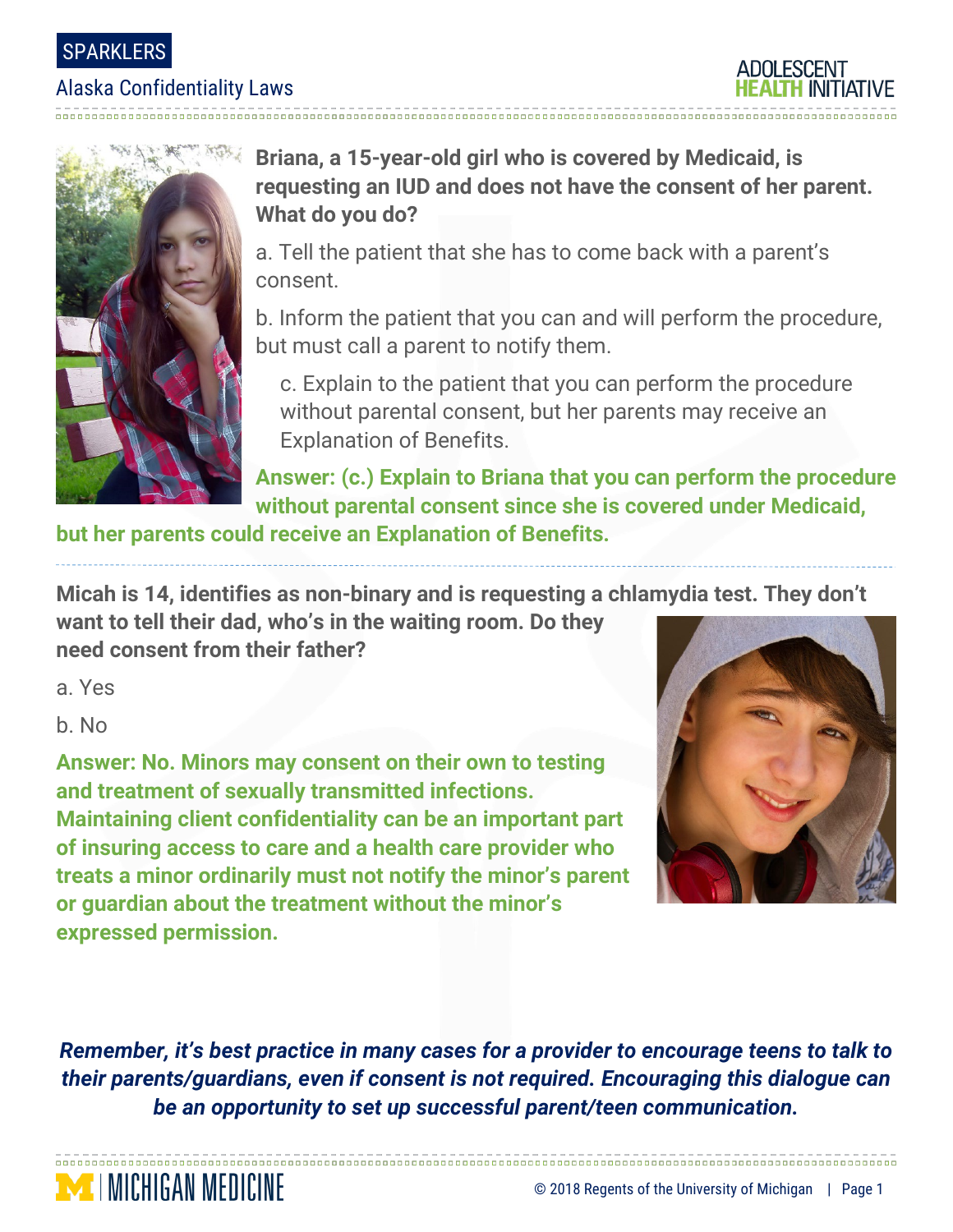### SPARKLERS

#### Alaska Confidentiality Laws





## **Briana, a 15-year-old girl who is covered by Medicaid, is requesting an IUD and does not have the consent of her parent. What do you do?**

a. Tell the patient that she has to come back with a parent's consent.

b. Inform the patient that you can and will perform the procedure, but must call a parent to notify them.

c. Explain to the patient that you can perform the procedure without parental consent, but her parents may receive an Explanation of Benefits.

**Answer: (c.) Explain to Briana that you can perform the procedure without parental consent since she is covered under Medicaid,** 

**but her parents could receive an Explanation of Benefits.** 

**Micah is 14, identifies as non-binary and is requesting a chlamydia test. They don't** 

**want to tell their dad, who's in the waiting room. Do they need consent from their father?**

a. Yes

b. No

**MINICHIGAN MEDICINE** 

**Answer: No. Minors may consent on their own to testing and treatment of sexually transmitted infections. Maintaining client confidentiality can be an important part of insuring access to care and a health care provider who treats a minor ordinarily must not notify the minor's parent or guardian about the treatment without the minor's expressed permission.**



*Remember, it's best practice in many cases for a provider to encourage teens to talk to their parents/guardians, even if consent is not required. Encouraging this dialogue can be an opportunity to set up successful parent/teen communication.*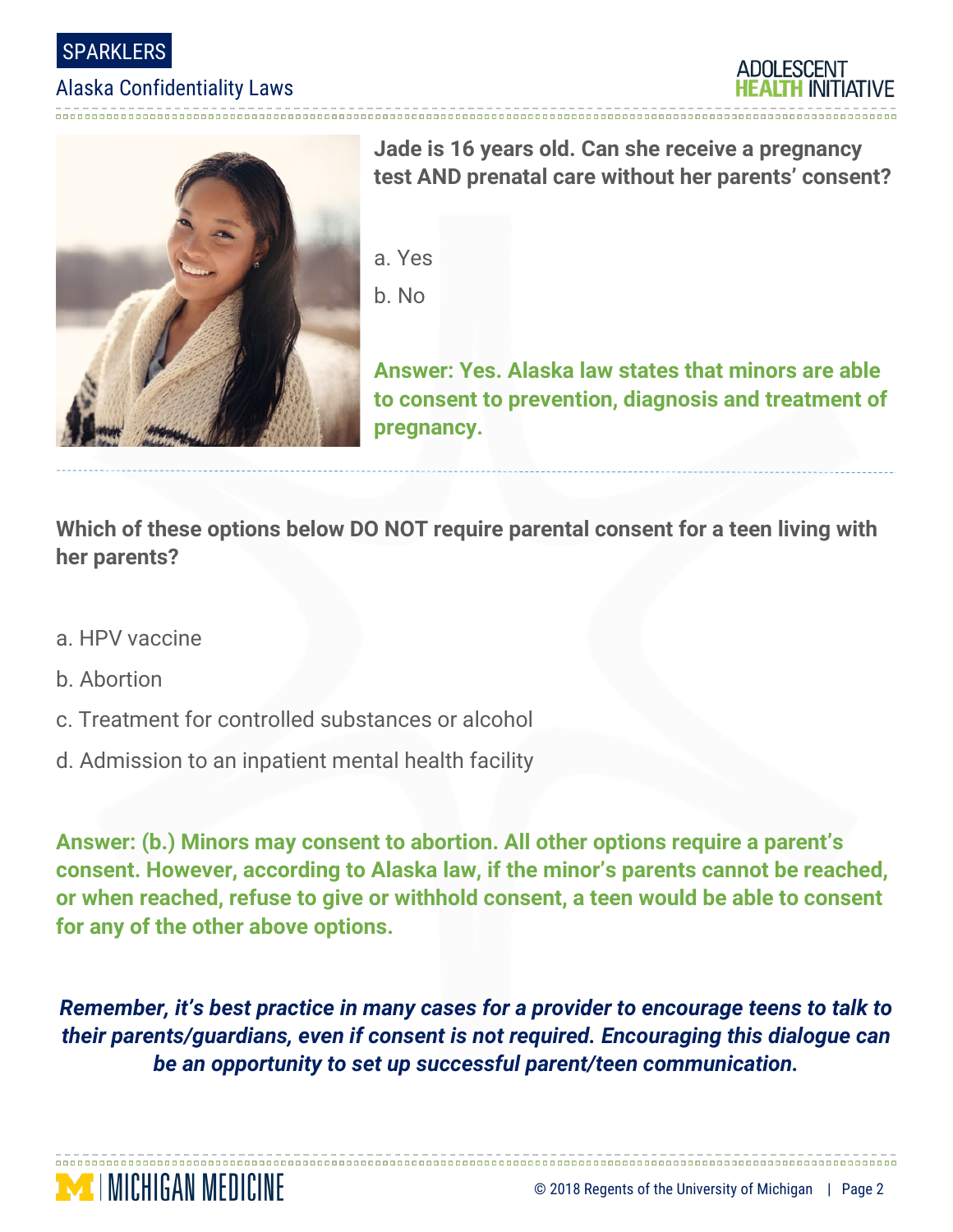

#### Alaska Confidentiality Laws





**Jade is 16 years old. Can she receive a pregnancy test AND prenatal care without her parents' consent?**

a. Yes b. No

**Answer: Yes. Alaska law states that minors are able to consent to prevention, diagnosis and treatment of pregnancy.** 

**Which of these options below DO NOT require parental consent for a teen living with her parents?**

- a. HPV vaccine
- b. Abortion
- c. Treatment for controlled substances or alcohol
- d. Admission to an inpatient mental health facility

**Answer: (b.) Minors may consent to abortion. All other options require a parent's consent. However, according to Alaska law, if the minor's parents cannot be reached, or when reached, refuse to give or withhold consent, a teen would be able to consent for any of the other above options.**

*Remember, it's best practice in many cases for a provider to encourage teens to talk to their parents/guardians, even if consent is not required. Encouraging this dialogue can be an opportunity to set up successful parent/teen communication.*